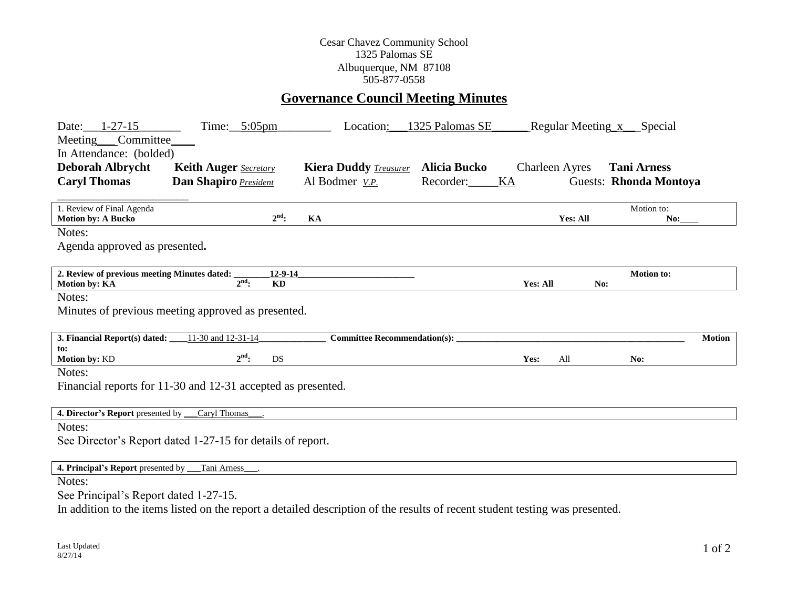## Cesar Chavez Community School 1325 Palomas SE Albuquerque, NM 87108 505-877-0558

## **Governance Council Meeting Minutes**

| Date: 1-27-15<br>Meeting Committee<br>In Attendance: (bolded) | Time: $5:05$ pm                                                                                                              | Location:                           | 1325 Palomas SE |                       | Regular Meeting x Special |               |
|---------------------------------------------------------------|------------------------------------------------------------------------------------------------------------------------------|-------------------------------------|-----------------|-----------------------|---------------------------|---------------|
| <b>Deborah Albrycht</b>                                       | <b>Keith Auger</b> Secretary                                                                                                 | <b>Kiera Duddy Treasurer</b>        | Alicia Bucko    | <b>Charleen Ayres</b> | <b>Tani Arness</b>        |               |
| <b>Caryl Thomas</b>                                           | Dan Shapiro President                                                                                                        | Al Bodmer <i>V.P.</i>               | Recorder:<br>KA |                       | Guests: Rhonda Montoya    |               |
|                                                               |                                                                                                                              |                                     |                 |                       |                           |               |
| 1. Review of Final Agenda<br><b>Motion by: A Bucko</b>        | $2^{\text{nd}}$ :                                                                                                            | KA                                  |                 | Yes: All              | Motion to:<br>No:         |               |
| Notes:                                                        |                                                                                                                              |                                     |                 |                       |                           |               |
| Agenda approved as presented.                                 |                                                                                                                              |                                     |                 |                       |                           |               |
|                                                               |                                                                                                                              |                                     |                 |                       |                           |               |
| 2. Review of previous meeting Minutes dated:<br>Motion by: KA | $12 - 9 - 14$<br>$2nd$ :<br><b>KD</b>                                                                                        |                                     |                 | <b>Yes: All</b>       | <b>Motion to:</b><br>No:  |               |
| Notes:                                                        |                                                                                                                              |                                     |                 |                       |                           |               |
|                                                               | Minutes of previous meeting approved as presented.                                                                           |                                     |                 |                       |                           |               |
|                                                               |                                                                                                                              |                                     |                 |                       |                           |               |
| 3. Financial Report(s) dated:                                 | 11-30 and 12-31-14                                                                                                           | <b>Committee Recommendation(s):</b> |                 |                       |                           | <b>Motion</b> |
| to:<br>Motion by: KD                                          | $2^{\text{nd}}$ :<br>DS                                                                                                      |                                     |                 | Yes:<br>All           | No:                       |               |
| Notes:                                                        |                                                                                                                              |                                     |                 |                       |                           |               |
|                                                               | Financial reports for 11-30 and 12-31 accepted as presented.                                                                 |                                     |                 |                       |                           |               |
|                                                               |                                                                                                                              |                                     |                 |                       |                           |               |
| 4. Director's Report presented by                             | Caryl Thomas                                                                                                                 |                                     |                 |                       |                           |               |
| Notes:                                                        |                                                                                                                              |                                     |                 |                       |                           |               |
|                                                               | See Director's Report dated 1-27-15 for details of report.                                                                   |                                     |                 |                       |                           |               |
|                                                               |                                                                                                                              |                                     |                 |                       |                           |               |
| 4. Principal's Report presented by _                          | Tani Arness                                                                                                                  |                                     |                 |                       |                           |               |
| Notes:                                                        |                                                                                                                              |                                     |                 |                       |                           |               |
| See Principal's Report dated 1-27-15.                         |                                                                                                                              |                                     |                 |                       |                           |               |
|                                                               | In addition to the items listed on the report a detailed description of the results of recent student testing was presented. |                                     |                 |                       |                           |               |